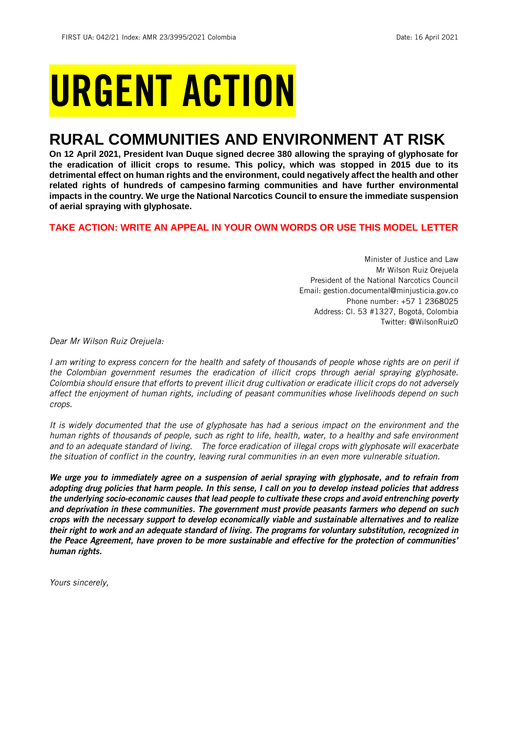# URGENT ACTION

## **RURAL COMMUNITIES AND ENVIRONMENT AT RISK**

**On 12 April 2021, President Ivan Duque signed decree 380 allowing the spraying of glyphosate for the eradication of illicit crops to resume. This policy, which was stopped in 2015 due to its detrimental effect on human rights and the environment, could negatively affect the health and other related rights of hundreds of campesino farming communities and have further environmental impacts in the country. We urge the National Narcotics Council to ensure the immediate suspension of aerial spraying with glyphosate.**

## **TAKE ACTION: WRITE AN APPEAL IN YOUR OWN WORDS OR USE THIS MODEL LETTER**

Minister of Justice and Law Mr Wilson Ruiz Orejuela President of the National Narcotics Council Email: gestion.documental@minjusticia.gov.co Phone number: +57 1 2368025 Address: Cl. 53 #1327, Bogotá, Colombia Twitter: @WilsonRuizO

*Dear Mr Wilson Ruiz Orejuela:*

*I am writing to express concern for the health and safety of thousands of people whose rights are on peril if the Colombian government resumes the eradication of illicit crops through aerial spraying glyphosate. Colombia should ensure that efforts to prevent illicit drug cultivation or eradicate illicit crops do not adversely affect the enjoyment of human rights, including of peasant communities whose livelihoods depend on such crops.* 

*It is widely documented that the use of glyphosate has had a serious impact on the environment and the human rights of thousands of people, such as right to life, health, water, to a healthy and safe environment and to an adequate standard of living. The force eradication of illegal crops with glyphosate will exacerbate the situation of conflict in the country, leaving rural communities in an even more vulnerable situation.*

*We urge you to immediately agree on a suspension of aerial spraying with glyphosate, and to refrain from adopting drug policies that harm people. In this sense, I call on you to develop instead policies that address the underlying socio-economic causes that lead people to cultivate these crops and avoid entrenching poverty and deprivation in these communities. The government must provide peasants farmers who depend on such crops with the necessary support to develop economically viable and sustainable alternatives and to realize their right to work and an adequate standard of living. The programs for voluntary substitution, recognized in the Peace Agreement, have proven to be more sustainable and effective for the protection of communities' human rights.*

*Yours sincerely,*